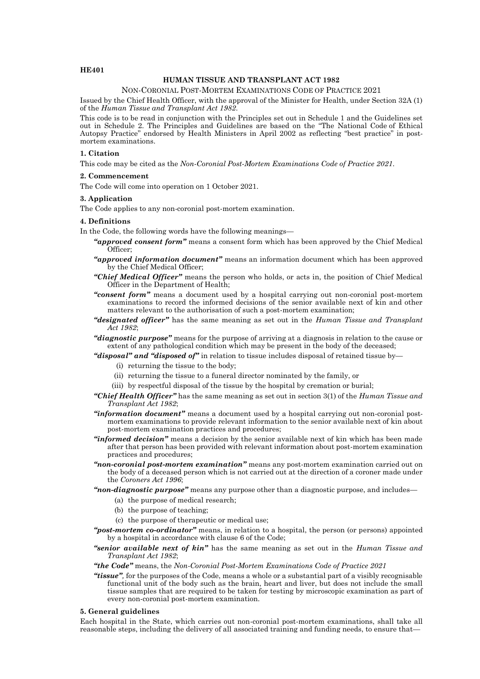# **HE401**

# **HUMAN TISSUE AND TRANSPLANT ACT 1982**

#### NON-CORONIAL POST-MORTEM EXAMINATIONS CODE OF PRACTICE 2021

Issued by the Chief Health Officer, with the approval of the Minister for Health, under Section 32A (1) of the *Human Tissue and Transplant Act 1982*.

This code is to be read in conjunction with the Principles set out in Schedule 1 and the Guidelines set out in Schedule 2. The Principles and Guidelines are based on the "The National Code of Ethical Autopsy Practice" endorsed by Health Ministers in April 2002 as reflecting "best practice" in postmortem examinations.

# **1. Citation**

This code may be cited as the *Non-Coronial Post-Mortem Examinations Code of Practice 2021*.

#### **2. Commencement**

The Code will come into operation on 1 October 2021.

## **3. Application**

The Code applies to any non-coronial post-mortem examination.

## **4. Definitions**

In the Code, the following words have the following meanings—

- *"approved consent form"* means a consent form which has been approved by the Chief Medical Officer;
- *"approved information document"* means an information document which has been approved by the Chief Medical Officer;
- *"Chief Medical Officer"* means the person who holds, or acts in, the position of Chief Medical Officer in the Department of Health;
- *"consent form"* means a document used by a hospital carrying out non-coronial post-mortem examinations to record the informed decisions of the senior available next of kin and other matters relevant to the authorisation of such a post-mortem examination;
- *"designated officer"* has the same meaning as set out in the *Human Tissue and Transplant Act 1982*;
- *"diagnostic purpose"* means for the purpose of arriving at a diagnosis in relation to the cause or extent of any pathological condition which may be present in the body of the deceased;
- *"disposal" and "disposed of"* in relation to tissue includes disposal of retained tissue by—
	- (i) returning the tissue to the body;
	- (ii) returning the tissue to a funeral director nominated by the family, or
	- (iii) by respectful disposal of the tissue by the hospital by cremation or burial;
- *"Chief Health Officer"* has the same meaning as set out in section 3(1) of the *Human Tissue and Transplant Act 1982*;
- *"information document"* means a document used by a hospital carrying out non-coronial postmortem examinations to provide relevant information to the senior available next of kin about post-mortem examination practices and procedures;
- *"informed decision"* means a decision by the senior available next of kin which has been made after that person has been provided with relevant information about post-mortem examination practices and procedures;
- *"non-coronial post-mortem examination"* means any post-mortem examination carried out on the body of a deceased person which is not carried out at the direction of a coroner made under the *Coroners Act 1996*;
- *"non-diagnostic purpose"* means any purpose other than a diagnostic purpose, and includes—
	- (a) the purpose of medical research;
	- (b) the purpose of teaching;
	- (c) the purpose of therapeutic or medical use;
- *"post-mortem co-ordinator"* means, in relation to a hospital, the person (or persons) appointed by a hospital in accordance with clause 6 of the Code;

## *"senior available next of kin"* has the same meaning as set out in the *Human Tissue and Transplant Act 1982*;

#### *"the Code"* means, the *Non-Coronial Post-Mortem Examinations Code of Practice 2021*

*"tissue",* for the purposes of the Code, means a whole or a substantial part of a visibly recognisable functional unit of the body such as the brain, heart and liver, but does not include the small tissue samples that are required to be taken for testing by microscopic examination as part of every non-coronial post-mortem examination.

## **5. General guidelines**

Each hospital in the State, which carries out non-coronial post-mortem examinations, shall take all reasonable steps, including the delivery of all associated training and funding needs, to ensure that—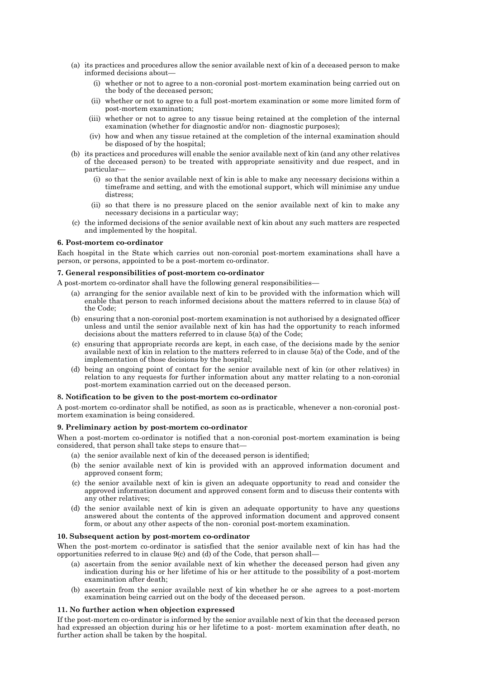- (a) its practices and procedures allow the senior available next of kin of a deceased person to make informed decisions about—
	- (i) whether or not to agree to a non-coronial post-mortem examination being carried out on the body of the deceased person;
	- (ii) whether or not to agree to a full post-mortem examination or some more limited form of post-mortem examination;
	- (iii) whether or not to agree to any tissue being retained at the completion of the internal examination (whether for diagnostic and/or non- diagnostic purposes);
	- (iv) how and when any tissue retained at the completion of the internal examination should be disposed of by the hospital;
- (b) its practices and procedures will enable the senior available next of kin (and any other relatives of the deceased person) to be treated with appropriate sensitivity and due respect, and in particular—
	- (i) so that the senior available next of kin is able to make any necessary decisions within a timeframe and setting, and with the emotional support, which will minimise any undue distress;
	- (ii) so that there is no pressure placed on the senior available next of kin to make any necessary decisions in a particular way;
- (c) the informed decisions of the senior available next of kin about any such matters are respected and implemented by the hospital.

## **6. Post-mortem co-ordinator**

Each hospital in the State which carries out non-coronial post-mortem examinations shall have a person, or persons, appointed to be a post-mortem co-ordinator.

## **7. General responsibilities of post-mortem co-ordinator**

A post-mortem co-ordinator shall have the following general responsibilities—

- (a) arranging for the senior available next of kin to be provided with the information which will enable that person to reach informed decisions about the matters referred to in clause 5(a) of the Code;
- (b) ensuring that a non-coronial post-mortem examination is not authorised by a designated officer unless and until the senior available next of kin has had the opportunity to reach informed decisions about the matters referred to in clause 5(a) of the Code;
- (c) ensuring that appropriate records are kept, in each case, of the decisions made by the senior available next of kin in relation to the matters referred to in clause 5(a) of the Code, and of the implementation of those decisions by the hospital;
- (d) being an ongoing point of contact for the senior available next of kin (or other relatives) in relation to any requests for further information about any matter relating to a non-coronial post-mortem examination carried out on the deceased person.

#### **8. Notification to be given to the post-mortem co-ordinator**

A post-mortem co-ordinator shall be notified, as soon as is practicable, whenever a non-coronial postmortem examination is being considered.

# **9. Preliminary action by post-mortem co-ordinator**

When a post-mortem co-ordinator is notified that a non-coronial post-mortem examination is being considered, that person shall take steps to ensure that—

- (a) the senior available next of kin of the deceased person is identified;
- (b) the senior available next of kin is provided with an approved information document and approved consent form;
- (c) the senior available next of kin is given an adequate opportunity to read and consider the approved information document and approved consent form and to discuss their contents with any other relatives;
- (d) the senior available next of kin is given an adequate opportunity to have any questions answered about the contents of the approved information document and approved consent form, or about any other aspects of the non- coronial post-mortem examination.

#### **10. Subsequent action by post-mortem co-ordinator**

When the post-mortem co-ordinator is satisfied that the senior available next of kin has had the opportunities referred to in clause 9(c) and (d) of the Code, that person shall—

- (a) ascertain from the senior available next of kin whether the deceased person had given any indication during his or her lifetime of his or her attitude to the possibility of a post-mortem examination after death;
- (b) ascertain from the senior available next of kin whether he or she agrees to a post-mortem examination being carried out on the body of the deceased person.

## **11. No further action when objection expressed**

If the post-mortem co-ordinator is informed by the senior available next of kin that the deceased person had expressed an objection during his or her lifetime to a post- mortem examination after death, no further action shall be taken by the hospital.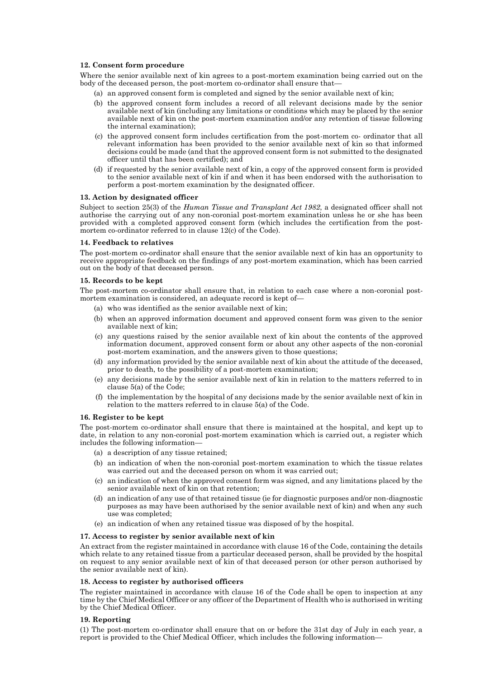# **12. Consent form procedure**

Where the senior available next of kin agrees to a post-mortem examination being carried out on the body of the deceased person, the post-mortem co-ordinator shall ensure that—

- (a) an approved consent form is completed and signed by the senior available next of kin;
- (b) the approved consent form includes a record of all relevant decisions made by the senior available next of kin (including any limitations or conditions which may be placed by the senior available next of kin on the post-mortem examination and/or any retention of tissue following the internal examination);
- (c) the approved consent form includes certification from the post-mortem co- ordinator that all relevant information has been provided to the senior available next of kin so that informed decisions could be made (and that the approved consent form is not submitted to the designated officer until that has been certified); and
- (d) if requested by the senior available next of kin, a copy of the approved consent form is provided to the senior available next of kin if and when it has been endorsed with the authorisation to perform a post-mortem examination by the designated officer.

## **13. Action by designated officer**

Subject to section 25(3) of the *Human Tissue and Transplant Act 1982*, a designated officer shall not authorise the carrying out of any non-coronial post-mortem examination unless he or she has been provided with a completed approved consent form (which includes the certification from the postmortem co-ordinator referred to in clause 12(c) of the Code).

#### **14. Feedback to relatives**

The post-mortem co-ordinator shall ensure that the senior available next of kin has an opportunity to receive appropriate feedback on the findings of any post-mortem examination, which has been carried out on the body of that deceased person.

#### **15. Records to be kept**

The post-mortem co-ordinator shall ensure that, in relation to each case where a non-coronial postmortem examination is considered, an adequate record is kept of—

- (a) who was identified as the senior available next of kin;
- (b) when an approved information document and approved consent form was given to the senior available next of kin;
- (c) any questions raised by the senior available next of kin about the contents of the approved information document, approved consent form or about any other aspects of the non-coronial post-mortem examination, and the answers given to those questions;
- (d) any information provided by the senior available next of kin about the attitude of the deceased, prior to death, to the possibility of a post-mortem examination;
- (e) any decisions made by the senior available next of kin in relation to the matters referred to in clause 5(a) of the Code;
- (f) the implementation by the hospital of any decisions made by the senior available next of kin in relation to the matters referred to in clause 5(a) of the Code.

#### **16. Register to be kept**

The post-mortem co-ordinator shall ensure that there is maintained at the hospital, and kept up to date, in relation to any non-coronial post-mortem examination which is carried out, a register which includes the following information—

- (a) a description of any tissue retained;
- (b) an indication of when the non-coronial post-mortem examination to which the tissue relates was carried out and the deceased person on whom it was carried out;
- (c) an indication of when the approved consent form was signed, and any limitations placed by the senior available next of kin on that retention;
- (d) an indication of any use of that retained tissue (ie for diagnostic purposes and/or non-diagnostic purposes as may have been authorised by the senior available next of kin) and when any such use was completed;
- (e) an indication of when any retained tissue was disposed of by the hospital.

#### **17. Access to register by senior available next of kin**

An extract from the register maintained in accordance with clause 16 of the Code, containing the details which relate to any retained tissue from a particular deceased person, shall be provided by the hospital on request to any senior available next of kin of that deceased person (or other person authorised by the senior available next of kin).

#### **18. Access to register by authorised officers**

The register maintained in accordance with clause 16 of the Code shall be open to inspection at any time by the Chief Medical Officer or any officer of the Department of Health who is authorised in writing by the Chief Medical Officer.

#### **19. Reporting**

(1) The post-mortem co-ordinator shall ensure that on or before the 31st day of July in each year, a report is provided to the Chief Medical Officer, which includes the following information—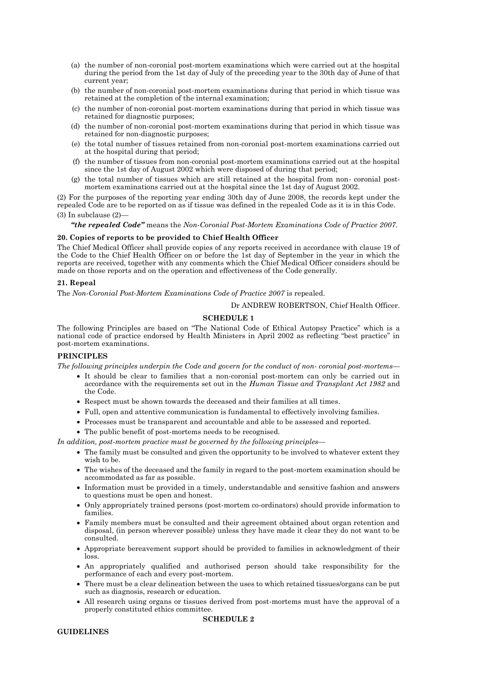- (a) the number of non-coronial post-mortem examinations which were carried out at the hospital during the period from the 1st day of July of the preceding year to the 30th day of June of that current year;
- (b) the number of non-coronial post-mortem examinations during that period in which tissue was retained at the completion of the internal examination;
- (c) the number of non-coronial post-mortem examinations during that period in which tissue was retained for diagnostic purposes;
- (d) the number of non-coronial post-mortem examinations during that period in which tissue was retained for non-diagnostic purposes;
- (e) the total number of tissues retained from non-coronial post-mortem examinations carried out at the hospital during that period;
- (f) the number of tissues from non-coronial post-mortem examinations carried out at the hospital since the 1st day of August 2002 which were disposed of during that period;
- (g) the total number of tissues which are still retained at the hospital from non- coronial postmortem examinations carried out at the hospital since the 1st day of August 2002.

(2) For the purposes of the reporting year ending 30th day of June 2008, the records kept under the repealed Code are to be reported on as if tissue was defined in the repealed Code as it is in this Code. (3) In subclause (2)—

*"the repealed Code"* means the *Non-Coronial Post-Mortem Examinations Code of Practice 2007*.

## **20. Copies of reports to be provided to Chief Health Officer**

The Chief Medical Officer shall provide copies of any reports received in accordance with clause 19 of the Code to the Chief Health Officer on or before the 1st day of September in the year in which the reports are received, together with any comments which the Chief Medical Officer considers should be made on those reports and on the operation and effectiveness of the Code generally.

## **21. Repeal**

The *Non-Coronial Post-Mortem Examinations Code of Practice 2007* is repealed.

Dr ANDREW ROBERTSON, Chief Health Officer.

# **SCHEDULE 1**

The following Principles are based on "The National Code of Ethical Autopsy Practice" which is a national code of practice endorsed by Health Ministers in April 2002 as reflecting "best practice" in post-mortem examinations.

## **PRINCIPLES**

*The following principles underpin the Code and govern for the conduct of non- coronial post-mortems—*

- It should be clear to families that a non-coronial post-mortem can only be carried out in accordance with the requirements set out in the *Human Tissue and Transplant Act 1982* and the Code.
- Respect must be shown towards the deceased and their families at all times.
- Full, open and attentive communication is fundamental to effectively involving families.
- Processes must be transparent and accountable and able to be assessed and reported.
- The public benefit of post-mortems needs to be recognised.

*In addition, post-mortem practice must be governed by the following principles—*

- The family must be consulted and given the opportunity to be involved to whatever extent they wish to be.
- The wishes of the deceased and the family in regard to the post-mortem examination should be accommodated as far as possible.
- Information must be provided in a timely, understandable and sensitive fashion and answers to questions must be open and honest.
- Only appropriately trained persons (post-mortem co-ordinators) should provide information to families.
- Family members must be consulted and their agreement obtained about organ retention and disposal, (in person wherever possible) unless they have made it clear they do not want to be consulted.
- Appropriate bereavement support should be provided to families in acknowledgment of their loss.
- An appropriately qualified and authorised person should take responsibility for the performance of each and every post-mortem.
- There must be a clear delineation between the uses to which retained tissues/organs can be put such as diagnosis, research or education.
- All research using organs or tissues derived from post-mortems must have the approval of a properly constituted ethics committee.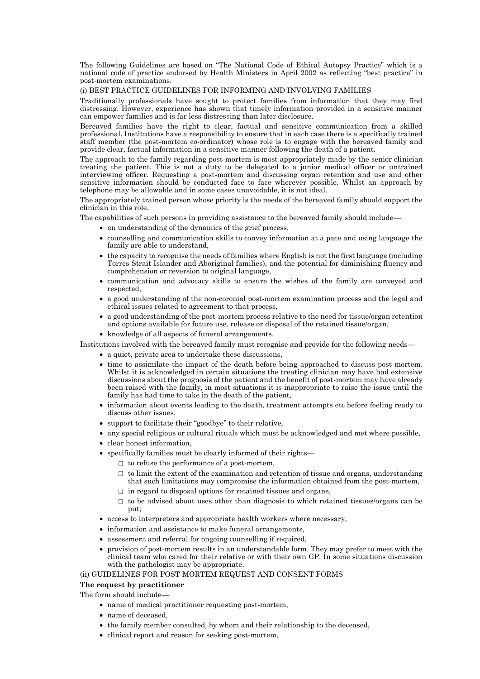The following Guidelines are based on "The National Code of Ethical Autopsy Practice" which is a national code of practice endorsed by Health Ministers in April 2002 as reflecting "best practice" in post-mortem examinations.

## (i) BEST PRACTICE GUIDELINES FOR INFORMING AND INVOLVING FAMILIES

Traditionally professionals have sought to protect families from information that they may find distressing. However, experience has shown that timely information provided in a sensitive manner can empower families and is far less distressing than later disclosure.

Bereaved families have the right to clear, factual and sensitive communication from a skilled professional. Institutions have a responsibility to ensure that in each case there is a specifically trained staff member (the post-mortem co-ordinator) whose role is to engage with the bereaved family and provide clear, factual information in a sensitive manner following the death of a patient.

The approach to the family regarding post-mortem is most appropriately made by the senior clinician treating the patient. This is not a duty to be delegated to a junior medical officer or untrained interviewing officer. Requesting a post-mortem and discussing organ retention and use and other sensitive information should be conducted face to face wherever possible. Whilst an approach by telephone may be allowable and in some cases unavoidable, it is not ideal.

The appropriately trained person whose priority is the needs of the bereaved family should support the clinician in this role.

The capabilities of such persons in providing assistance to the bereaved family should include—

- an understanding of the dynamics of the grief process,
- counselling and communication skills to convey information at a pace and using language the family are able to understand,
- the capacity to recognise the needs of families where English is not the first language (including Torres Strait Islander and Aboriginal families), and the potential for diminishing fluency and comprehension or reversion to original language,
- communication and advocacy skills to ensure the wishes of the family are conveyed and respected,
- a good understanding of the non-coronial post-mortem examination process and the legal and ethical issues related to agreement to that process,
- a good understanding of the post-mortem process relative to the need for tissue/organ retention and options available for future use, release or disposal of the retained tissue/organ,
- knowledge of all aspects of funeral arrangements.

Institutions involved with the bereaved family must recognise and provide for the following needs—

- a quiet, private area to undertake these discussions,
- time to assimilate the impact of the death before being approached to discuss post-mortem. Whilst it is acknowledged in certain situations the treating clinician may have had extensive discussions about the prognosis of the patient and the benefit of post-mortem may have already been raised with the family, in most situations it is inappropriate to raise the issue until the family has had time to take in the death of the patient,
- information about events leading to the death, treatment attempts etc before feeling ready to discuss other issues,
- support to facilitate their "goodbye" to their relative,
- any special religious or cultural rituals which must be acknowledged and met where possible,
- clear honest information,
- specifically families must be clearly informed of their rights—
	- $\Box$  to refuse the performance of a post-mortem,
		- $\Box$  to limit the extent of the examination and retention of tissue and organs, understanding that such limitations may compromise the information obtained from the post-mortem,
		- $\Box$  in regard to disposal options for retained tissues and organs,
		- $\Box$  to be advised about uses other than diagnosis to which retained tissues/organs can be put;
- access to interpreters and appropriate health workers where necessary,
- information and assistance to make funeral arrangements,
- assessment and referral for ongoing counselling if required,
- provision of post-mortem results in an understandable form. They may prefer to meet with the clinical team who cared for their relative or with their own GP. In some situations discussion with the pathologist may be appropriate.

## (ii) GUIDELINES FOR POST-MORTEM REQUEST AND CONSENT FORMS

#### **The request by practitioner**

The form should include—

- name of medical practitioner requesting post-mortem,
- name of deceased.
- the family member consulted, by whom and their relationship to the deceased,
- clinical report and reason for seeking post-mortem,